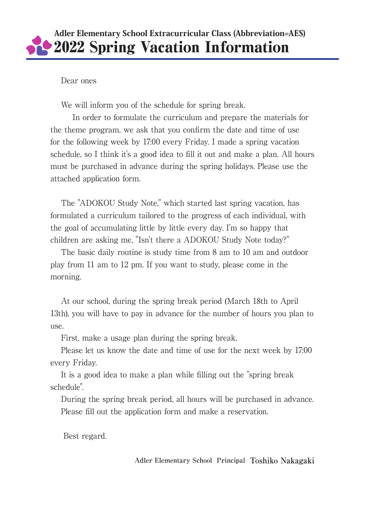# Adler Elementary School Extracurricular Class (Abbreviation=AES) 2022 Spring Vacation Information

### Dear ones

We will inform you of the schedule for spring break.

In order to formulate the curriculum and prepare the materials for the theme program, we ask that you confirm the date and time of use for the following week by 17:00 every Friday. I made a spring vacation schedule, so I think it's a good idea to fill it out and make a plan. All hours must be purchased in advance during the spring holidays. Please use the attached application form.

The "ADOKOU Study Note," which started last spring vacation, has formulated a curriculum tailored to the progress of each individual, with the goal of accumulating little by little every day. I'm so happy that children are asking me, "Isn't there a ADOKOU Study Note today?"

The basic daily routine is study time from 8 am to 10 am and outdoor play from 11 am to 12 pm. If you want to study, please come in the morning.

At our school, during the spring break period (March 18th to April 13th), you will have to pay in advance for the number of hours you plan to use.

First, make a usage plan during the spring break.

Please let us know the date and time of use for the next week by 17:00 every Friday.

It is a good idea to make a plan while filling out the "spring break schedule".

During the spring break period, all hours will be purchased in advance. Please fill out the application form and make a reservation.

Best regard.

**Adler Elementary School Principal Toshiko Nakagaki**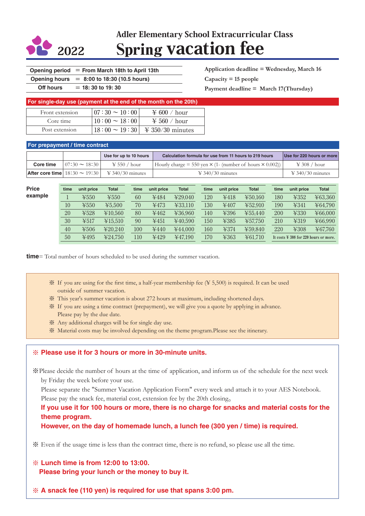

# Adler Elementary School Extracurricular Class <sup>2022</sup> Spring vacation fee

|  | Opening period $=$ From March 18th to April 13th |
|--|--------------------------------------------------|
|--|--------------------------------------------------|

**Opening hours** = **8:00 to 18:30 (10.5 hours)**

**Off hours** = **18: 30 to 19: 30**

**Application deadline = Wednesday, March 16 Capacity = 15 people Payment deadline = March 17(Thursday)**

| For single-day use (payment at the end of the month on the 20th) |                     |                           |  |  |  |  |  |  |  |
|------------------------------------------------------------------|---------------------|---------------------------|--|--|--|--|--|--|--|
| Front extension                                                  | $107:30 \sim 10:00$ | $\cong 600 / \text{hour}$ |  |  |  |  |  |  |  |
| Core time                                                        | $10:00 \sim 18:00$  | $\cong 560 / \text{hour}$ |  |  |  |  |  |  |  |
| Post extension                                                   | $18:00 \sim 19:30$  | $\cong$ 350/30 minutes    |  |  |  |  |  |  |  |

#### **For prepayment / time contract**

|           |                     | Use for up to 10 hours                                             | Calculation formula for use from 11 hours to 219 hours                 | Use for 220 hours or more        |
|-----------|---------------------|--------------------------------------------------------------------|------------------------------------------------------------------------|----------------------------------|
| Core time | $107:30 \sim 18:30$ | $\text{\yen} 550$ / hour                                           | Hourly charge = 550 yen $\times$ (1- (number of hours $\times$ 0.002)) | $\text{\yen} 308$ / hour         |
|           |                     | <b>After core time</b> $18:30 \sim 19:30$   \ \ \ \ 340/30 minutes | $\text{\yen} 340/30$ minutes                                           | $\textcircled{4}$ 340/30 minutes |

**Price example**

| time | unit price | <b>Total</b>             | time | unit price | <b>Total</b> | time | unit price | <b>Total</b> | time | unit price                                        | <b>Total</b> |
|------|------------|--------------------------|------|------------|--------------|------|------------|--------------|------|---------------------------------------------------|--------------|
|      | $\yen550$  | $\text{\#}550$           | 60   | ¥484       | ¥29.040      | 120  | ¥418       | ¥50.160      | 180  | ¥352                                              | ¥63,360      |
| 10   | ¥550       | ¥5.500                   | 70   | ¥473       | ¥33.110      | 130  | ¥407       | ¥52.910      | 190  | 4341                                              | ¥64.790      |
| 20   | ¥528       | ¥10.560                  | 80   | ¥462       | ¥36.960      | 140  | ¥396       | ¥55.440      | 200  | ¥330                                              | ¥66,000      |
| 30   | ¥517       | ¥15.510                  | 90   | ¥451       | ¥40.590      | 150  | ¥385       | ¥57.750      | 210  | ¥319                                              | ¥66.990      |
| 40   | ¥506       | $\text{\textless}20.240$ | 100  | ¥440       | ¥44.000      | 160  | ¥374       | ¥59.840      | 220  | $\yen$ 308                                        | ¥67,760      |
| 50   | ¥495       | ¥24.750                  | 110  | ¥429       | 447.190      | 170  | ¥363       | ¥61.710      |      | It costs $\frac{1}{2}$ 308 for 220 hours or more. |              |

**time**= Total number of hours scheduled to be used during the summer vacation.

- ※ If you are using for the first time, a half-year membership fee (¥ 5,500) is required. It can be used outside of summer vacation.
- ※ This year's summer vacation is about 272 hours at maximum, including shortened days.
- ※ If you are using a time contract (prepayment), we will give you a quote by applying in advance. Please pay by the due date.
- ※ Any additional charges will be for single day use.
- ※ Material costs may be involved depending on the theme program.Please see the itinerary.

#### ※ **Please use it for 3 hours or more in 30-minute units.**

※Please decide the number of hours at the time of application, and inform us of the schedule for the next week by Friday the week before your use.

 Please separate the "Summer Vacation Application Form" every week and attach it to your AES Notebook. Please pay the snack fee, material cost, extension fee by the 20th closing.

#### **If you use it for 100 hours or more, there is no charge for snacks and material costs for the theme program.**

**However, on the day of homemade lunch, a lunch fee (300 yen / time) is required.**

※ Even if the usage time is less than the contract time, there is no refund, so please use all the time.

### ※ **Lunch time is from 12:00 to 13:00. Please bring your lunch or the money to buy it.**

※ **A snack fee (110 yen) is required for use that spans 3:00 pm.**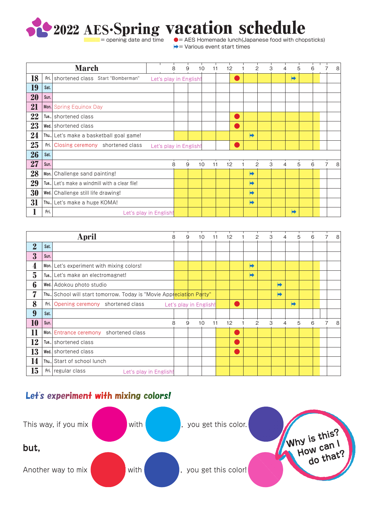

 $\bullet$  = AES Homemade lunch(Japanese food with chopsticks) |➡= Various event start times

|    |      | <b>March</b>                                   |                        | 8 | 9 | 10<br>11 | 12 |   | 2 | 3 | 4 | 5<br>6 | 8 |
|----|------|------------------------------------------------|------------------------|---|---|----------|----|---|---|---|---|--------|---|
| 18 | Fri. | shortened class Start "Bomberman"              | Let's play in English! |   |   |          |    |   |   |   | ➡ |        |   |
| 19 | Sat. |                                                |                        |   |   |          |    |   |   |   |   |        |   |
| 20 | Sun. |                                                |                        |   |   |          |    |   |   |   |   |        |   |
| 21 |      | Mon. Spring Equinox Day                        |                        |   |   |          |    |   |   |   |   |        |   |
| 22 |      | Tue., shortened class                          |                        |   |   |          |    |   |   |   |   |        |   |
| 23 |      | Wed. shortened class                           |                        |   |   |          |    |   |   |   |   |        |   |
| 24 |      | Thu., Let's make a basketball goal game!       |                        |   |   |          |    | ➡ |   |   |   |        |   |
| 25 |      | Fri. Closing ceremony shortened class          | Let's play in English! |   |   |          |    |   |   |   |   |        |   |
| 26 | Sat. |                                                |                        |   |   |          |    |   |   |   |   |        |   |
| 27 | Sun. |                                                |                        | 8 | 9 | 10<br>11 | 12 |   | 2 | 3 | 4 | 5<br>6 | 8 |
| 28 | Mon. | Challenge sand painting!                       |                        |   |   |          |    | ➡ |   |   |   |        |   |
| 29 |      | Tue., Let's make a windmill with a clear file! |                        |   |   |          |    | ➡ |   |   |   |        |   |
| 30 |      | Wed. Challenge still life drawing!             |                        |   |   |          |    | ➡ |   |   |   |        |   |
| 31 |      | Thu., Let's make a huge KOMA!                  |                        |   |   |          |    | ➡ |   |   |   |        |   |
| ı  | Fri. |                                                | Let's play in English! |   |   |          |    |   |   |   | ➡ |        |   |

|                |      | April                                                                 | 8                      | 9 | 10 | 11 | 12 |   | $\overline{c}$ | 3 |   | 5 | 6 | 7 | 8 |
|----------------|------|-----------------------------------------------------------------------|------------------------|---|----|----|----|---|----------------|---|---|---|---|---|---|
| $\overline{2}$ | Sat. |                                                                       |                        |   |    |    |    |   |                |   |   |   |   |   |   |
| $\bf{3}$       | Sun. |                                                                       |                        |   |    |    |    |   |                |   |   |   |   |   |   |
| 4              |      | Mon. Let's experiment with mixing colors!                             |                        |   |    |    |    | ➡ |                |   |   |   |   |   |   |
| $\overline{5}$ |      | Tue., Let's make an electromagnet!                                    |                        |   |    |    |    | ➡ |                |   |   |   |   |   |   |
| 6              |      | Wed. Adokou photo studio                                              |                        |   |    |    |    |   |                | ➡ |   |   |   |   |   |
| 7              |      | Thu., School will start tomorrow. Today is "Movie Appreciation Party" |                        |   |    |    |    |   |                | ➡ |   |   |   |   |   |
| 8              |      | <b>Fri.</b> Opening ceremony shortened class                          | Let's play in English! |   |    |    |    |   |                |   | ➡ |   |   |   |   |
| 9              | Sat. |                                                                       |                        |   |    |    |    |   |                |   |   |   |   |   |   |
| 10             | Sun. |                                                                       | 8                      | 9 | 10 | 11 | 12 |   | 2              | 3 | 4 | 5 | 6 |   | 8 |
| 11             |      | shortened class<br>Mon. Entrance ceremony                             |                        |   |    |    |    |   |                |   |   |   |   |   |   |
| 12             |      | Tue., shortened class                                                 |                        |   |    |    | a. |   |                |   |   |   |   |   |   |
| 13             |      | Wed. shortened class                                                  |                        |   |    |    |    |   |                |   |   |   |   |   |   |
| 14             |      | Thu., Start of school lunch                                           |                        |   |    |    |    |   |                |   |   |   |   |   |   |
| 15             |      | Fri. regular class<br>Let's play in English!                          |                        |   |    |    |    |   |                |   |   |   |   |   |   |

## Let's experiment with mixing colors!

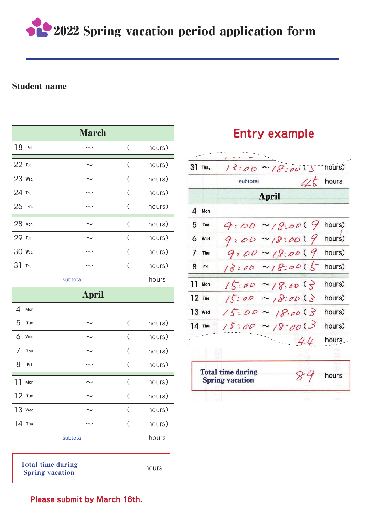2022 Spring vacation period application form

### Student name

| <b>March</b> |       |       |                               |        |  |  |  |  |  |  |
|--------------|-------|-------|-------------------------------|--------|--|--|--|--|--|--|
| 18           | Fri.  |       | $\overline{\left( \right. }%$ | hours) |  |  |  |  |  |  |
| 22 Tue.,     |       |       | $\overline{(\ }$              | hours) |  |  |  |  |  |  |
| 23 Wed.      |       |       | $\zeta$                       | hours) |  |  |  |  |  |  |
| 24 Thu.,     |       |       | $\overline{C}$                | hours) |  |  |  |  |  |  |
| 25           | Fri.  |       | $\overline{C}$                | hours) |  |  |  |  |  |  |
| 28 Mon.      |       |       | $\overline{C}$                | hours) |  |  |  |  |  |  |
| 29 Tue.,     |       |       | $\zeta$                       | hours) |  |  |  |  |  |  |
| 30           | Wed.  |       | $\zeta$                       | hours) |  |  |  |  |  |  |
| 31           | Thu., |       | $\overline{(\ }$              | hours) |  |  |  |  |  |  |
|              |       | hours |                               |        |  |  |  |  |  |  |
| <b>April</b> |       |       |                               |        |  |  |  |  |  |  |
|              |       |       |                               |        |  |  |  |  |  |  |
| Δ            | Mon   |       |                               |        |  |  |  |  |  |  |
| 5            | Tue   |       | $\zeta$                       | hours) |  |  |  |  |  |  |
| 6            | Wed   |       | $\zeta$                       | hours) |  |  |  |  |  |  |
| 7            | Thu   |       | $\zeta$                       | hours) |  |  |  |  |  |  |
| 8            | Fri   |       | $\overline{(\ }$              | hours) |  |  |  |  |  |  |
| ו ו          | Mon   |       | $\overline{C}$                | hours) |  |  |  |  |  |  |
| $12$ Tue     |       |       | $\zeta$                       | hours) |  |  |  |  |  |  |
| 13           | Wed   |       | $\overline{C}$                | hours) |  |  |  |  |  |  |
|              |       |       |                               |        |  |  |  |  |  |  |
| 14           | Thu   |       | (                             | hours) |  |  |  |  |  |  |

Total time during Spring vacation

| hours |  |
|-------|--|

## **Entry example**



**Please submit by March 16th.**

subtotal hours